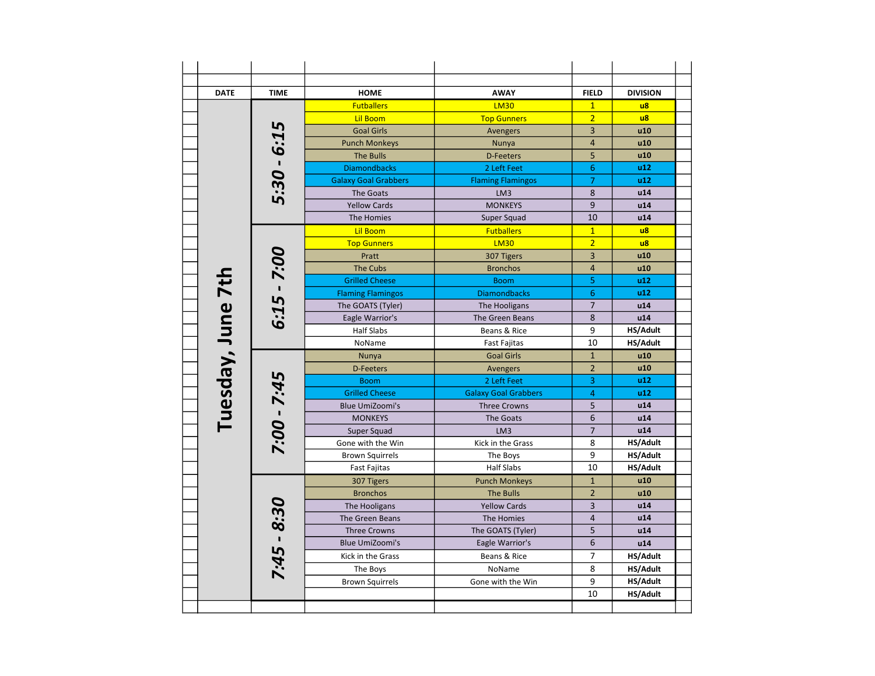| <b>DATE</b>       | <b>TIME</b>   | <b>HOME</b>                 | <b>AWAY</b>                 | <b>FIELD</b>   | <b>DIVISION</b> |
|-------------------|---------------|-----------------------------|-----------------------------|----------------|-----------------|
|                   |               | <b>Futballers</b>           | <b>LM30</b>                 | $\mathbf{1}$   | $\overline{u}$  |
|                   |               | <b>Lil Boom</b>             | <b>Top Gunners</b>          | $\overline{2}$ | $\overline{u}$  |
|                   |               | <b>Goal Girls</b>           | Avengers                    | $\overline{3}$ | u10             |
|                   |               | <b>Punch Monkeys</b>        | Nunya                       | $\overline{4}$ | u10             |
|                   |               | <b>The Bulls</b>            | <b>D-Feeters</b>            | 5              | u10             |
|                   |               | <b>Diamondbacks</b>         | 2 Left Feet                 | 6              | u12             |
|                   | $5:30 - 6:15$ | <b>Galaxy Goal Grabbers</b> | <b>Flaming Flamingos</b>    | $\overline{7}$ | u12             |
|                   |               | The Goats                   | LM3                         | 8              | u14             |
|                   |               | <b>Yellow Cards</b>         | <b>MONKEYS</b>              | 9              | u14             |
|                   |               | The Homies                  | Super Squad                 | 10             | u14             |
|                   |               | <b>Lil Boom</b>             | <b>Futballers</b>           | $\mathbf{1}$   | $\overline{u}$  |
|                   |               | <b>Top Gunners</b>          | <b>LM30</b>                 | $\overline{2}$ | $\overline{u}$  |
|                   |               | Pratt                       | 307 Tigers                  | 3              | u10             |
|                   |               | <b>The Cubs</b>             | <b>Bronchos</b>             | $\overline{4}$ | u10             |
|                   | $6:15 - 7:00$ | <b>Grilled Cheese</b>       | <b>Boom</b>                 | 5              | u12             |
|                   |               | <b>Flaming Flamingos</b>    | <b>Diamondbacks</b>         | 6              | u12             |
|                   |               | The GOATS (Tyler)           | The Hooligans               | $\overline{7}$ | u14             |
|                   |               | Eagle Warrior's             | The Green Beans             | 8              | u14             |
|                   |               | Half Slabs                  | Beans & Rice                | 9              | HS/Adult        |
|                   |               | NoName                      | <b>Fast Fajitas</b>         | 10             | HS/Adult        |
| Tuesday, June 7th |               | Nunya                       | <b>Goal Girls</b>           | $\mathbf{1}$   | u10             |
|                   |               | <b>D-Feeters</b>            | Avengers                    | $\overline{2}$ | u10             |
|                   | 7:00 - 7:45   | <b>Boom</b>                 | 2 Left Feet                 | 3              | u12             |
|                   |               | <b>Grilled Cheese</b>       | <b>Galaxy Goal Grabbers</b> | $\overline{4}$ | u12             |
|                   |               | <b>Blue UmiZoomi's</b>      | <b>Three Crowns</b>         | 5              | u14             |
|                   |               | <b>MONKEYS</b>              | The Goats                   | 6              | u14             |
|                   |               | Super Squad                 | LM3                         | $\overline{7}$ | u14             |
|                   |               | Gone with the Win           | Kick in the Grass           | 8              | HS/Adult        |
|                   |               | <b>Brown Squirrels</b>      | The Boys                    | 9              | HS/Adult        |
|                   |               | <b>Fast Fajitas</b>         | <b>Half Slabs</b>           | 10             | HS/Adult        |
|                   |               | 307 Tigers                  | <b>Punch Monkeys</b>        | $\mathbf{1}$   | u10             |
|                   |               | <b>Bronchos</b>             | <b>The Bulls</b>            | $\overline{2}$ | u10             |
|                   |               | The Hooligans               | <b>Yellow Cards</b>         | $\overline{3}$ | u14             |
|                   |               | The Green Beans             | The Homies                  | $\overline{4}$ | u14             |
|                   |               | <b>Three Crowns</b>         | The GOATS (Tyler)           | 5              | u14             |
|                   |               | <b>Blue UmiZoomi's</b>      | Eagle Warrior's             | 6              | u14             |
|                   | $7:45 - 8:30$ | Kick in the Grass           | Beans & Rice                | $\overline{7}$ | <b>HS/Adult</b> |
|                   |               | The Boys                    | NoName                      | 8              | HS/Adult        |
|                   |               | <b>Brown Squirrels</b>      | Gone with the Win           | 9              | HS/Adult        |
|                   |               |                             |                             | 10             | HS/Adult        |
|                   |               |                             |                             |                |                 |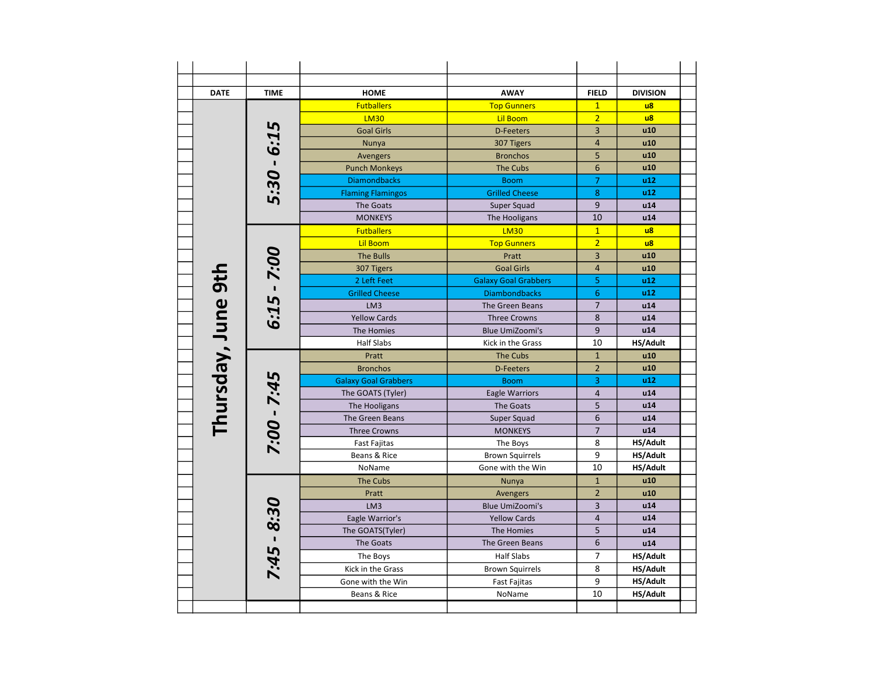| <b>DATE</b>        | <b>TIME</b>   | <b>HOME</b>                 | <b>AWAY</b>                 | <b>FIELD</b>   | <b>DIVISION</b> |
|--------------------|---------------|-----------------------------|-----------------------------|----------------|-----------------|
|                    |               | <b>Futballers</b>           | <b>Top Gunners</b>          | $\mathbf{1}$   | $\overline{u}$  |
|                    |               | <b>LM30</b>                 | <b>Lil Boom</b>             | $\overline{2}$ | $\overline{u}$  |
|                    |               | <b>Goal Girls</b>           | <b>D-Feeters</b>            | $\overline{3}$ | u10             |
|                    |               | Nunya                       | 307 Tigers                  | $\overline{4}$ | u10             |
|                    |               | Avengers                    | <b>Bronchos</b>             | 5              | u10             |
|                    |               | <b>Punch Monkeys</b>        | <b>The Cubs</b>             | 6              | u10             |
|                    |               | <b>Diamondbacks</b>         | <b>Boom</b>                 | $\overline{7}$ | u12             |
|                    | 5:30 - 6:15   | <b>Flaming Flamingos</b>    | <b>Grilled Cheese</b>       | 8              | u12             |
|                    |               | The Goats                   | Super Squad                 | 9              | u14             |
|                    |               | <b>MONKEYS</b>              | The Hooligans               | 10             | u14             |
|                    |               | <b>Futballers</b>           | <b>LM30</b>                 | $\mathbf{1}$   | $\overline{u}$  |
|                    |               | <b>Lil Boom</b>             | <b>Top Gunners</b>          | $\overline{2}$ | $\overline{u}$  |
|                    |               | <b>The Bulls</b>            | Pratt                       | 3              | u10             |
|                    |               | 307 Tigers                  | <b>Goal Girls</b>           | $\overline{4}$ | u10             |
|                    | $6:15 - 7:00$ | 2 Left Feet                 | <b>Galaxy Goal Grabbers</b> | 5              | u12             |
|                    |               | <b>Grilled Cheese</b>       | <b>Diambondbacks</b>        | 6              | u12             |
|                    |               | LM3                         | The Green Beans             | $\overline{7}$ | u14             |
|                    |               | <b>Yellow Cards</b>         | <b>Three Crowns</b>         | 8              | u14             |
|                    |               | The Homies                  | <b>Blue UmiZoomi's</b>      | 9              | u14             |
| Thursday, June 9th |               | <b>Half Slabs</b>           | Kick in the Grass           | 10             | HS/Adult        |
|                    |               | Pratt                       | <b>The Cubs</b>             | $\overline{1}$ | u10             |
|                    |               | <b>Bronchos</b>             | <b>D-Feeters</b>            | $\overline{2}$ | u10             |
|                    |               | <b>Galaxy Goal Grabbers</b> | <b>Boom</b>                 | 3              | u12             |
|                    | 7:00 - 7:45   | The GOATS (Tyler)           | <b>Eagle Warriors</b>       | $\overline{4}$ | u14             |
|                    |               | The Hooligans               | The Goats                   | 5              | u14             |
|                    |               | The Green Beans             | Super Squad                 | 6              | u14             |
|                    |               | <b>Three Crowns</b>         | <b>MONKEYS</b>              | $\overline{7}$ | u14             |
|                    |               | <b>Fast Fajitas</b>         | The Boys                    | 8              | HS/Adult        |
|                    |               | Beans & Rice                | <b>Brown Squirrels</b>      | 9              | HS/Adult        |
|                    |               | NoName                      | Gone with the Win           | 10             | HS/Adult        |
|                    |               | <b>The Cubs</b>             | Nunya                       | $\mathbf{1}$   | u10             |
|                    |               | Pratt                       | Avengers                    | $\overline{2}$ | u10             |
|                    |               | LM <sub>3</sub>             | <b>Blue UmiZoomi's</b>      | 3              | u14             |
|                    |               | Eagle Warrior's             | <b>Yellow Cards</b>         | $\overline{4}$ | u14             |
|                    | $7:45 - 8:30$ | The GOATS(Tyler)            | The Homies                  | 5              | u14             |
|                    |               | The Goats                   | The Green Beans             | 6              | u14             |
|                    |               | The Boys                    | <b>Half Slabs</b>           | 7              | <b>HS/Adult</b> |
|                    |               | Kick in the Grass           | <b>Brown Squirrels</b>      | 8              | HS/Adult        |
|                    |               | Gone with the Win           | Fast Fajitas                | 9              | <b>HS/Adult</b> |
|                    |               | Beans & Rice                | NoName                      | 10             | HS/Adult        |
|                    |               |                             |                             |                |                 |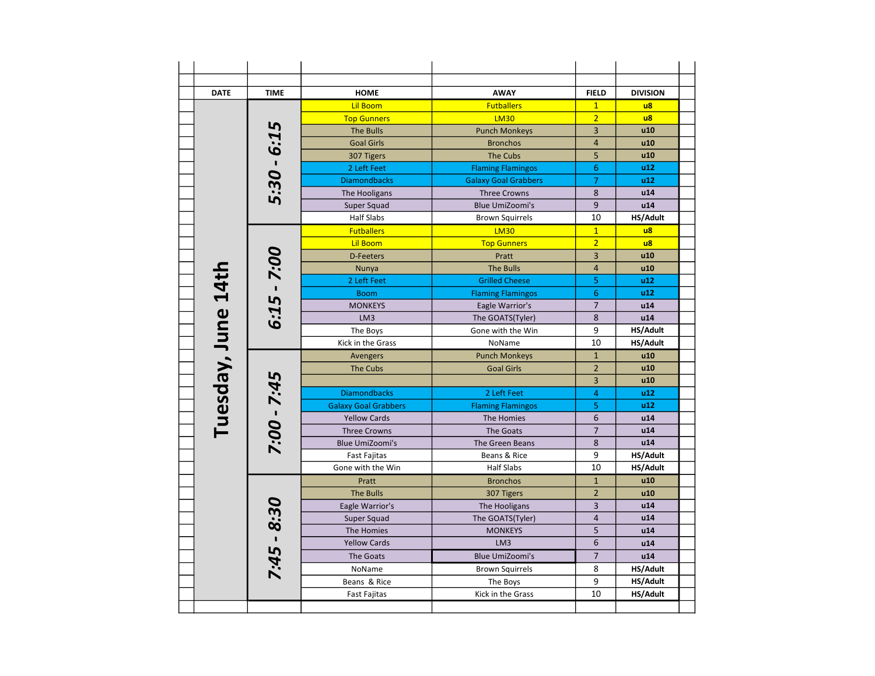| <b>DATE</b>        | <b>TIME</b>   | <b>HOME</b>                 | <b>AWAY</b>                 | <b>FIELD</b>   | <b>DIVISION</b>  |
|--------------------|---------------|-----------------------------|-----------------------------|----------------|------------------|
|                    |               | <b>Lil Boom</b>             | <b>Futballers</b>           | $\mathbf{1}$   | $\overline{u}$ 8 |
|                    |               | <b>Top Gunners</b>          | <b>LM30</b>                 | $\overline{2}$ | $\overline{u}$   |
|                    |               | <b>The Bulls</b>            | <b>Punch Monkeys</b>        | $\overline{3}$ | u10              |
|                    |               | <b>Goal Girls</b>           | <b>Bronchos</b>             | 4              | u10              |
|                    |               | 307 Tigers                  | <b>The Cubs</b>             | 5              | u10              |
|                    | 5:30 - 6:15   | 2 Left Feet                 | <b>Flaming Flamingos</b>    | 6              | u12              |
|                    |               | <b>Diamondbacks</b>         | <b>Galaxy Goal Grabbers</b> | 7              | u12              |
|                    |               | The Hooligans               | <b>Three Crowns</b>         | 8              | u14              |
|                    |               | Super Squad                 | <b>Blue UmiZoomi's</b>      | 9              | u14              |
|                    |               | <b>Half Slabs</b>           | <b>Brown Squirrels</b>      | 10             | HS/Adult         |
|                    |               | <b>Futballers</b>           | <b>LM30</b>                 | $\overline{1}$ | $\overline{u}$   |
|                    |               | <b>Lil Boom</b>             | <b>Top Gunners</b>          | $\overline{2}$ | $\overline{u}$   |
|                    |               | <b>D-Feeters</b>            | Pratt                       | 3              | u10              |
|                    |               | Nunya                       | <b>The Bulls</b>            | $\overline{4}$ | u10              |
|                    | $6:15 - 7:00$ | 2 Left Feet                 | <b>Grilled Cheese</b>       | 5              | u12              |
|                    |               | <b>Boom</b>                 | <b>Flaming Flamingos</b>    | 6              | u12              |
|                    |               | <b>MONKEYS</b>              | Eagle Warrior's             | $\overline{7}$ | u14              |
|                    |               | LM3                         | The GOATS(Tyler)            | 8              | u14              |
|                    |               | The Boys                    | Gone with the Win           | 9              | HS/Adult         |
| Tuesday, June 14th |               | Kick in the Grass           | NoName                      | 10             | HS/Adult         |
|                    |               | Avengers                    | <b>Punch Monkeys</b>        | $\mathbf{1}$   | u10              |
|                    |               | The Cubs                    | <b>Goal Girls</b>           | $\overline{2}$ | u10              |
|                    | 7:00 - 7:45   |                             |                             | 3              | u10              |
|                    |               | <b>Diamondbacks</b>         | 2 Left Feet                 | 4              | u12              |
|                    |               | <b>Galaxy Goal Grabbers</b> | <b>Flaming Flamingos</b>    | 5              | u12              |
|                    |               | <b>Yellow Cards</b>         | The Homies                  | 6              | u14              |
|                    |               | <b>Three Crowns</b>         | <b>The Goats</b>            | $\overline{7}$ | u14              |
|                    |               | <b>Blue UmiZoomi's</b>      | The Green Beans             | 8              | u14              |
|                    |               | <b>Fast Fajitas</b>         | Beans & Rice                | 9              | HS/Adult         |
|                    |               | Gone with the Win           | <b>Half Slabs</b>           | 10             | HS/Adult         |
|                    |               | Pratt                       | <b>Bronchos</b>             | $\mathbf{1}$   | u10              |
|                    |               | <b>The Bulls</b>            | 307 Tigers                  | $\overline{2}$ | u10              |
|                    |               | Eagle Warrior's             | The Hooligans               | 3              | u14              |
|                    |               | Super Squad                 | The GOATS(Tyler)            | $\overline{4}$ | u14              |
|                    |               | The Homies                  | <b>MONKEYS</b>              | 5              | u14              |
|                    |               | <b>Yellow Cards</b>         | LM3                         | 6              | u14              |
|                    |               | The Goats                   | <b>Blue UmiZoomi's</b>      | $\overline{7}$ | u14              |
|                    | $7:45 - 8:30$ | NoName                      | <b>Brown Squirrels</b>      | 8              | HS/Adult         |
|                    |               | Beans & Rice                | The Boys                    | 9              | HS/Adult         |
|                    |               | Fast Fajitas                | Kick in the Grass           | 10             | HS/Adult         |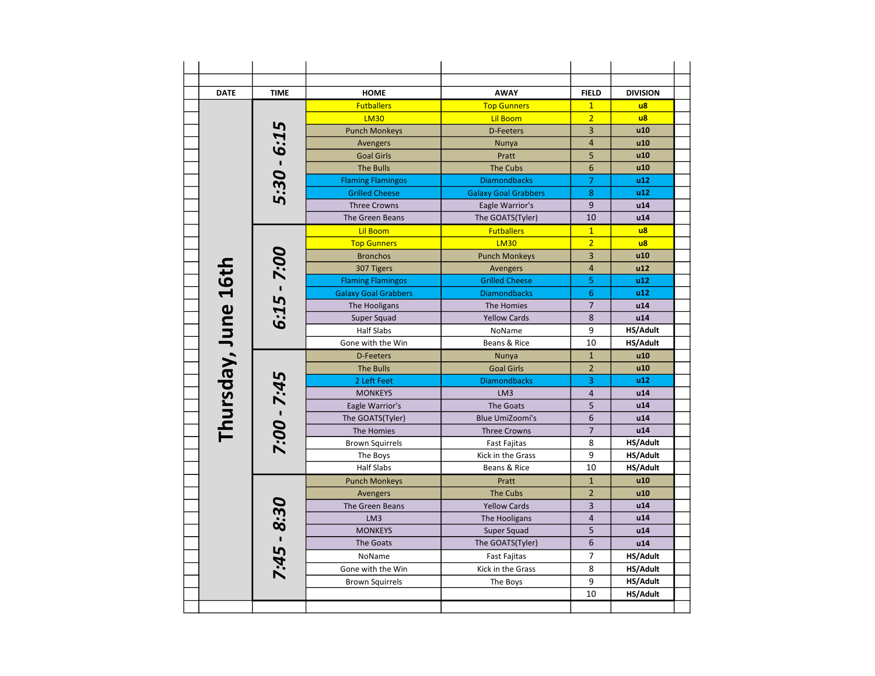| <b>DATE</b><br><b>TIME</b><br><b>HOME</b><br><b>AWAY</b><br><b>FIELD</b><br><b>DIVISION</b><br>$\overline{u}$<br><b>Futballers</b><br><b>Top Gunners</b><br>$\mathbf{1}$<br>$\overline{2}$<br>$\overline{u}$<br><b>LM30</b><br><b>Lil Boom</b><br>5:30 - 6:15<br>$\overline{3}$<br>u10<br><b>Punch Monkeys</b><br><b>D-Feeters</b><br>$\overline{4}$<br>u10<br>Avengers<br>Nunya<br>5<br>u10<br><b>Goal Girls</b><br>Pratt<br>6<br><b>The Bulls</b><br><b>The Cubs</b><br>u10<br>7<br><b>Diamondbacks</b><br>u12<br><b>Flaming Flamingos</b><br>8<br>u12<br><b>Grilled Cheese</b><br><b>Galaxy Goal Grabbers</b><br>9<br>u14<br><b>Three Crowns</b><br>Eagle Warrior's<br>10<br><b>The Green Beans</b><br>The GOATS(Tyler)<br>u14<br><b>Lil Boom</b><br><b>Futballers</b><br>$\mathbf{1}$<br>$\mathsf{u}$ 8<br>$\overline{2}$<br>$\overline{u}$<br><b>LM30</b><br><b>Top Gunners</b><br>$6:15 - 7:00$<br>3<br><b>Bronchos</b><br><b>Punch Monkeys</b><br>u10<br>Thursday, June 16th<br>$\overline{4}$<br>307 Tigers<br>u12<br>Avengers<br>5<br><b>Flaming Flamingos</b><br><b>Grilled Cheese</b><br>u12<br>6<br>u12<br><b>Galaxy Goal Grabbers</b><br><b>Diamondbacks</b><br>$\overline{7}$<br>u14<br>The Hooligans<br>The Homies<br>8<br>u14<br><b>Yellow Cards</b><br>Super Squad<br>9<br>HS/Adult<br><b>Half Slabs</b><br>NoName<br>10<br>Gone with the Win<br>Beans & Rice<br>HS/Adult<br>$\mathbf{1}$<br>u10<br><b>D-Feeters</b><br>Nunya<br>$\overline{2}$<br><b>The Bulls</b><br>u10<br><b>Goal Girls</b><br>7:00 - 7:45<br>3<br><b>Diamondbacks</b><br>u12<br>2 Left Feet<br>$\overline{4}$<br>u14<br><b>MONKEYS</b><br>LM3<br>5<br>u14<br>Eagle Warrior's<br><b>The Goats</b><br>6<br><b>Blue UmiZoomi's</b><br>u14<br>The GOATS(Tyler)<br>$\overline{7}$<br>u14<br>The Homies<br><b>Three Crowns</b><br>8<br>HS/Adult<br><b>Brown Squirrels</b><br><b>Fast Fajitas</b><br>9<br>HS/Adult<br>Kick in the Grass<br>The Boys<br>10<br><b>Half Slabs</b><br>Beans & Rice<br>HS/Adult<br>$\mathbf{1}$<br>u10<br><b>Punch Monkeys</b><br>Pratt<br>$\overline{2}$<br><b>The Cubs</b><br>u10<br><b>Avengers</b><br>7:45 - 8:30<br>$\overline{3}$<br><b>Yellow Cards</b><br>u14<br>The Green Beans<br>$\overline{4}$<br>u14<br>LM <sub>3</sub><br>The Hooligans<br>5<br>u14<br><b>MONKEYS</b><br>Super Squad<br>6<br>The Goats<br>The GOATS(Tyler)<br>u14<br>7<br>NoName<br><b>Fast Fajitas</b><br>HS/Adult<br>8<br>HS/Adult<br>Gone with the Win<br>Kick in the Grass<br>9<br>HS/Adult<br><b>Brown Squirrels</b><br>The Boys<br>10<br>HS/Adult |  |  |  |
|-------------------------------------------------------------------------------------------------------------------------------------------------------------------------------------------------------------------------------------------------------------------------------------------------------------------------------------------------------------------------------------------------------------------------------------------------------------------------------------------------------------------------------------------------------------------------------------------------------------------------------------------------------------------------------------------------------------------------------------------------------------------------------------------------------------------------------------------------------------------------------------------------------------------------------------------------------------------------------------------------------------------------------------------------------------------------------------------------------------------------------------------------------------------------------------------------------------------------------------------------------------------------------------------------------------------------------------------------------------------------------------------------------------------------------------------------------------------------------------------------------------------------------------------------------------------------------------------------------------------------------------------------------------------------------------------------------------------------------------------------------------------------------------------------------------------------------------------------------------------------------------------------------------------------------------------------------------------------------------------------------------------------------------------------------------------------------------------------------------------------------------------------------------------------------------------------------------------------------------------------------------------------------------------------------------------------------------------------------------------------------------------------------------------------------------------------------------------------------------------------------------------------------------------------|--|--|--|
|                                                                                                                                                                                                                                                                                                                                                                                                                                                                                                                                                                                                                                                                                                                                                                                                                                                                                                                                                                                                                                                                                                                                                                                                                                                                                                                                                                                                                                                                                                                                                                                                                                                                                                                                                                                                                                                                                                                                                                                                                                                                                                                                                                                                                                                                                                                                                                                                                                                                                                                                                 |  |  |  |
|                                                                                                                                                                                                                                                                                                                                                                                                                                                                                                                                                                                                                                                                                                                                                                                                                                                                                                                                                                                                                                                                                                                                                                                                                                                                                                                                                                                                                                                                                                                                                                                                                                                                                                                                                                                                                                                                                                                                                                                                                                                                                                                                                                                                                                                                                                                                                                                                                                                                                                                                                 |  |  |  |
|                                                                                                                                                                                                                                                                                                                                                                                                                                                                                                                                                                                                                                                                                                                                                                                                                                                                                                                                                                                                                                                                                                                                                                                                                                                                                                                                                                                                                                                                                                                                                                                                                                                                                                                                                                                                                                                                                                                                                                                                                                                                                                                                                                                                                                                                                                                                                                                                                                                                                                                                                 |  |  |  |
|                                                                                                                                                                                                                                                                                                                                                                                                                                                                                                                                                                                                                                                                                                                                                                                                                                                                                                                                                                                                                                                                                                                                                                                                                                                                                                                                                                                                                                                                                                                                                                                                                                                                                                                                                                                                                                                                                                                                                                                                                                                                                                                                                                                                                                                                                                                                                                                                                                                                                                                                                 |  |  |  |
|                                                                                                                                                                                                                                                                                                                                                                                                                                                                                                                                                                                                                                                                                                                                                                                                                                                                                                                                                                                                                                                                                                                                                                                                                                                                                                                                                                                                                                                                                                                                                                                                                                                                                                                                                                                                                                                                                                                                                                                                                                                                                                                                                                                                                                                                                                                                                                                                                                                                                                                                                 |  |  |  |
|                                                                                                                                                                                                                                                                                                                                                                                                                                                                                                                                                                                                                                                                                                                                                                                                                                                                                                                                                                                                                                                                                                                                                                                                                                                                                                                                                                                                                                                                                                                                                                                                                                                                                                                                                                                                                                                                                                                                                                                                                                                                                                                                                                                                                                                                                                                                                                                                                                                                                                                                                 |  |  |  |
|                                                                                                                                                                                                                                                                                                                                                                                                                                                                                                                                                                                                                                                                                                                                                                                                                                                                                                                                                                                                                                                                                                                                                                                                                                                                                                                                                                                                                                                                                                                                                                                                                                                                                                                                                                                                                                                                                                                                                                                                                                                                                                                                                                                                                                                                                                                                                                                                                                                                                                                                                 |  |  |  |
|                                                                                                                                                                                                                                                                                                                                                                                                                                                                                                                                                                                                                                                                                                                                                                                                                                                                                                                                                                                                                                                                                                                                                                                                                                                                                                                                                                                                                                                                                                                                                                                                                                                                                                                                                                                                                                                                                                                                                                                                                                                                                                                                                                                                                                                                                                                                                                                                                                                                                                                                                 |  |  |  |
|                                                                                                                                                                                                                                                                                                                                                                                                                                                                                                                                                                                                                                                                                                                                                                                                                                                                                                                                                                                                                                                                                                                                                                                                                                                                                                                                                                                                                                                                                                                                                                                                                                                                                                                                                                                                                                                                                                                                                                                                                                                                                                                                                                                                                                                                                                                                                                                                                                                                                                                                                 |  |  |  |
|                                                                                                                                                                                                                                                                                                                                                                                                                                                                                                                                                                                                                                                                                                                                                                                                                                                                                                                                                                                                                                                                                                                                                                                                                                                                                                                                                                                                                                                                                                                                                                                                                                                                                                                                                                                                                                                                                                                                                                                                                                                                                                                                                                                                                                                                                                                                                                                                                                                                                                                                                 |  |  |  |
|                                                                                                                                                                                                                                                                                                                                                                                                                                                                                                                                                                                                                                                                                                                                                                                                                                                                                                                                                                                                                                                                                                                                                                                                                                                                                                                                                                                                                                                                                                                                                                                                                                                                                                                                                                                                                                                                                                                                                                                                                                                                                                                                                                                                                                                                                                                                                                                                                                                                                                                                                 |  |  |  |
|                                                                                                                                                                                                                                                                                                                                                                                                                                                                                                                                                                                                                                                                                                                                                                                                                                                                                                                                                                                                                                                                                                                                                                                                                                                                                                                                                                                                                                                                                                                                                                                                                                                                                                                                                                                                                                                                                                                                                                                                                                                                                                                                                                                                                                                                                                                                                                                                                                                                                                                                                 |  |  |  |
|                                                                                                                                                                                                                                                                                                                                                                                                                                                                                                                                                                                                                                                                                                                                                                                                                                                                                                                                                                                                                                                                                                                                                                                                                                                                                                                                                                                                                                                                                                                                                                                                                                                                                                                                                                                                                                                                                                                                                                                                                                                                                                                                                                                                                                                                                                                                                                                                                                                                                                                                                 |  |  |  |
|                                                                                                                                                                                                                                                                                                                                                                                                                                                                                                                                                                                                                                                                                                                                                                                                                                                                                                                                                                                                                                                                                                                                                                                                                                                                                                                                                                                                                                                                                                                                                                                                                                                                                                                                                                                                                                                                                                                                                                                                                                                                                                                                                                                                                                                                                                                                                                                                                                                                                                                                                 |  |  |  |
|                                                                                                                                                                                                                                                                                                                                                                                                                                                                                                                                                                                                                                                                                                                                                                                                                                                                                                                                                                                                                                                                                                                                                                                                                                                                                                                                                                                                                                                                                                                                                                                                                                                                                                                                                                                                                                                                                                                                                                                                                                                                                                                                                                                                                                                                                                                                                                                                                                                                                                                                                 |  |  |  |
|                                                                                                                                                                                                                                                                                                                                                                                                                                                                                                                                                                                                                                                                                                                                                                                                                                                                                                                                                                                                                                                                                                                                                                                                                                                                                                                                                                                                                                                                                                                                                                                                                                                                                                                                                                                                                                                                                                                                                                                                                                                                                                                                                                                                                                                                                                                                                                                                                                                                                                                                                 |  |  |  |
|                                                                                                                                                                                                                                                                                                                                                                                                                                                                                                                                                                                                                                                                                                                                                                                                                                                                                                                                                                                                                                                                                                                                                                                                                                                                                                                                                                                                                                                                                                                                                                                                                                                                                                                                                                                                                                                                                                                                                                                                                                                                                                                                                                                                                                                                                                                                                                                                                                                                                                                                                 |  |  |  |
|                                                                                                                                                                                                                                                                                                                                                                                                                                                                                                                                                                                                                                                                                                                                                                                                                                                                                                                                                                                                                                                                                                                                                                                                                                                                                                                                                                                                                                                                                                                                                                                                                                                                                                                                                                                                                                                                                                                                                                                                                                                                                                                                                                                                                                                                                                                                                                                                                                                                                                                                                 |  |  |  |
|                                                                                                                                                                                                                                                                                                                                                                                                                                                                                                                                                                                                                                                                                                                                                                                                                                                                                                                                                                                                                                                                                                                                                                                                                                                                                                                                                                                                                                                                                                                                                                                                                                                                                                                                                                                                                                                                                                                                                                                                                                                                                                                                                                                                                                                                                                                                                                                                                                                                                                                                                 |  |  |  |
|                                                                                                                                                                                                                                                                                                                                                                                                                                                                                                                                                                                                                                                                                                                                                                                                                                                                                                                                                                                                                                                                                                                                                                                                                                                                                                                                                                                                                                                                                                                                                                                                                                                                                                                                                                                                                                                                                                                                                                                                                                                                                                                                                                                                                                                                                                                                                                                                                                                                                                                                                 |  |  |  |
|                                                                                                                                                                                                                                                                                                                                                                                                                                                                                                                                                                                                                                                                                                                                                                                                                                                                                                                                                                                                                                                                                                                                                                                                                                                                                                                                                                                                                                                                                                                                                                                                                                                                                                                                                                                                                                                                                                                                                                                                                                                                                                                                                                                                                                                                                                                                                                                                                                                                                                                                                 |  |  |  |
|                                                                                                                                                                                                                                                                                                                                                                                                                                                                                                                                                                                                                                                                                                                                                                                                                                                                                                                                                                                                                                                                                                                                                                                                                                                                                                                                                                                                                                                                                                                                                                                                                                                                                                                                                                                                                                                                                                                                                                                                                                                                                                                                                                                                                                                                                                                                                                                                                                                                                                                                                 |  |  |  |
|                                                                                                                                                                                                                                                                                                                                                                                                                                                                                                                                                                                                                                                                                                                                                                                                                                                                                                                                                                                                                                                                                                                                                                                                                                                                                                                                                                                                                                                                                                                                                                                                                                                                                                                                                                                                                                                                                                                                                                                                                                                                                                                                                                                                                                                                                                                                                                                                                                                                                                                                                 |  |  |  |
|                                                                                                                                                                                                                                                                                                                                                                                                                                                                                                                                                                                                                                                                                                                                                                                                                                                                                                                                                                                                                                                                                                                                                                                                                                                                                                                                                                                                                                                                                                                                                                                                                                                                                                                                                                                                                                                                                                                                                                                                                                                                                                                                                                                                                                                                                                                                                                                                                                                                                                                                                 |  |  |  |
|                                                                                                                                                                                                                                                                                                                                                                                                                                                                                                                                                                                                                                                                                                                                                                                                                                                                                                                                                                                                                                                                                                                                                                                                                                                                                                                                                                                                                                                                                                                                                                                                                                                                                                                                                                                                                                                                                                                                                                                                                                                                                                                                                                                                                                                                                                                                                                                                                                                                                                                                                 |  |  |  |
|                                                                                                                                                                                                                                                                                                                                                                                                                                                                                                                                                                                                                                                                                                                                                                                                                                                                                                                                                                                                                                                                                                                                                                                                                                                                                                                                                                                                                                                                                                                                                                                                                                                                                                                                                                                                                                                                                                                                                                                                                                                                                                                                                                                                                                                                                                                                                                                                                                                                                                                                                 |  |  |  |
|                                                                                                                                                                                                                                                                                                                                                                                                                                                                                                                                                                                                                                                                                                                                                                                                                                                                                                                                                                                                                                                                                                                                                                                                                                                                                                                                                                                                                                                                                                                                                                                                                                                                                                                                                                                                                                                                                                                                                                                                                                                                                                                                                                                                                                                                                                                                                                                                                                                                                                                                                 |  |  |  |
|                                                                                                                                                                                                                                                                                                                                                                                                                                                                                                                                                                                                                                                                                                                                                                                                                                                                                                                                                                                                                                                                                                                                                                                                                                                                                                                                                                                                                                                                                                                                                                                                                                                                                                                                                                                                                                                                                                                                                                                                                                                                                                                                                                                                                                                                                                                                                                                                                                                                                                                                                 |  |  |  |
|                                                                                                                                                                                                                                                                                                                                                                                                                                                                                                                                                                                                                                                                                                                                                                                                                                                                                                                                                                                                                                                                                                                                                                                                                                                                                                                                                                                                                                                                                                                                                                                                                                                                                                                                                                                                                                                                                                                                                                                                                                                                                                                                                                                                                                                                                                                                                                                                                                                                                                                                                 |  |  |  |
|                                                                                                                                                                                                                                                                                                                                                                                                                                                                                                                                                                                                                                                                                                                                                                                                                                                                                                                                                                                                                                                                                                                                                                                                                                                                                                                                                                                                                                                                                                                                                                                                                                                                                                                                                                                                                                                                                                                                                                                                                                                                                                                                                                                                                                                                                                                                                                                                                                                                                                                                                 |  |  |  |
|                                                                                                                                                                                                                                                                                                                                                                                                                                                                                                                                                                                                                                                                                                                                                                                                                                                                                                                                                                                                                                                                                                                                                                                                                                                                                                                                                                                                                                                                                                                                                                                                                                                                                                                                                                                                                                                                                                                                                                                                                                                                                                                                                                                                                                                                                                                                                                                                                                                                                                                                                 |  |  |  |
|                                                                                                                                                                                                                                                                                                                                                                                                                                                                                                                                                                                                                                                                                                                                                                                                                                                                                                                                                                                                                                                                                                                                                                                                                                                                                                                                                                                                                                                                                                                                                                                                                                                                                                                                                                                                                                                                                                                                                                                                                                                                                                                                                                                                                                                                                                                                                                                                                                                                                                                                                 |  |  |  |
|                                                                                                                                                                                                                                                                                                                                                                                                                                                                                                                                                                                                                                                                                                                                                                                                                                                                                                                                                                                                                                                                                                                                                                                                                                                                                                                                                                                                                                                                                                                                                                                                                                                                                                                                                                                                                                                                                                                                                                                                                                                                                                                                                                                                                                                                                                                                                                                                                                                                                                                                                 |  |  |  |
|                                                                                                                                                                                                                                                                                                                                                                                                                                                                                                                                                                                                                                                                                                                                                                                                                                                                                                                                                                                                                                                                                                                                                                                                                                                                                                                                                                                                                                                                                                                                                                                                                                                                                                                                                                                                                                                                                                                                                                                                                                                                                                                                                                                                                                                                                                                                                                                                                                                                                                                                                 |  |  |  |
|                                                                                                                                                                                                                                                                                                                                                                                                                                                                                                                                                                                                                                                                                                                                                                                                                                                                                                                                                                                                                                                                                                                                                                                                                                                                                                                                                                                                                                                                                                                                                                                                                                                                                                                                                                                                                                                                                                                                                                                                                                                                                                                                                                                                                                                                                                                                                                                                                                                                                                                                                 |  |  |  |
|                                                                                                                                                                                                                                                                                                                                                                                                                                                                                                                                                                                                                                                                                                                                                                                                                                                                                                                                                                                                                                                                                                                                                                                                                                                                                                                                                                                                                                                                                                                                                                                                                                                                                                                                                                                                                                                                                                                                                                                                                                                                                                                                                                                                                                                                                                                                                                                                                                                                                                                                                 |  |  |  |
|                                                                                                                                                                                                                                                                                                                                                                                                                                                                                                                                                                                                                                                                                                                                                                                                                                                                                                                                                                                                                                                                                                                                                                                                                                                                                                                                                                                                                                                                                                                                                                                                                                                                                                                                                                                                                                                                                                                                                                                                                                                                                                                                                                                                                                                                                                                                                                                                                                                                                                                                                 |  |  |  |
|                                                                                                                                                                                                                                                                                                                                                                                                                                                                                                                                                                                                                                                                                                                                                                                                                                                                                                                                                                                                                                                                                                                                                                                                                                                                                                                                                                                                                                                                                                                                                                                                                                                                                                                                                                                                                                                                                                                                                                                                                                                                                                                                                                                                                                                                                                                                                                                                                                                                                                                                                 |  |  |  |
|                                                                                                                                                                                                                                                                                                                                                                                                                                                                                                                                                                                                                                                                                                                                                                                                                                                                                                                                                                                                                                                                                                                                                                                                                                                                                                                                                                                                                                                                                                                                                                                                                                                                                                                                                                                                                                                                                                                                                                                                                                                                                                                                                                                                                                                                                                                                                                                                                                                                                                                                                 |  |  |  |
|                                                                                                                                                                                                                                                                                                                                                                                                                                                                                                                                                                                                                                                                                                                                                                                                                                                                                                                                                                                                                                                                                                                                                                                                                                                                                                                                                                                                                                                                                                                                                                                                                                                                                                                                                                                                                                                                                                                                                                                                                                                                                                                                                                                                                                                                                                                                                                                                                                                                                                                                                 |  |  |  |
|                                                                                                                                                                                                                                                                                                                                                                                                                                                                                                                                                                                                                                                                                                                                                                                                                                                                                                                                                                                                                                                                                                                                                                                                                                                                                                                                                                                                                                                                                                                                                                                                                                                                                                                                                                                                                                                                                                                                                                                                                                                                                                                                                                                                                                                                                                                                                                                                                                                                                                                                                 |  |  |  |
|                                                                                                                                                                                                                                                                                                                                                                                                                                                                                                                                                                                                                                                                                                                                                                                                                                                                                                                                                                                                                                                                                                                                                                                                                                                                                                                                                                                                                                                                                                                                                                                                                                                                                                                                                                                                                                                                                                                                                                                                                                                                                                                                                                                                                                                                                                                                                                                                                                                                                                                                                 |  |  |  |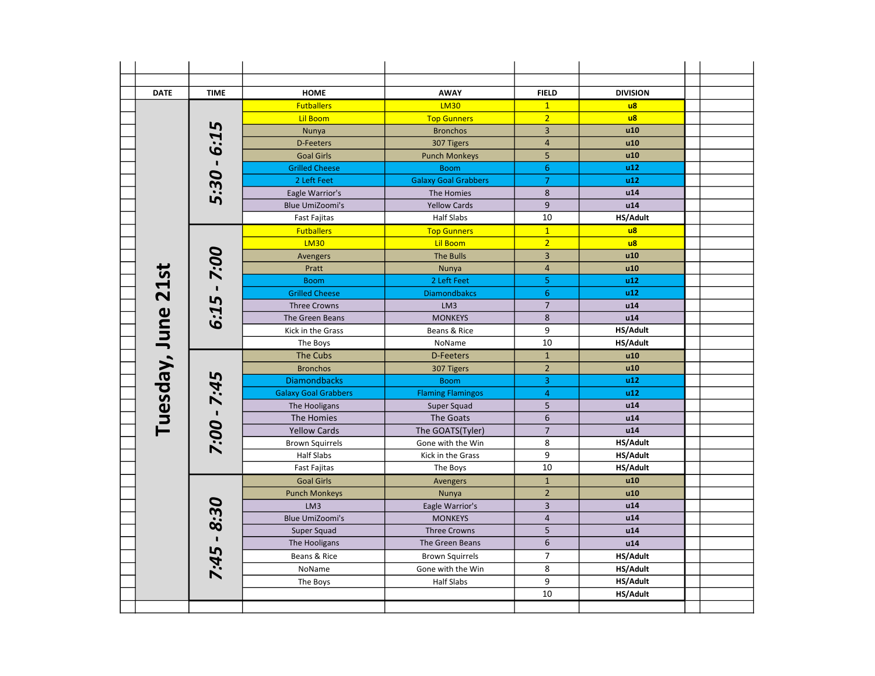| <b>DATE</b>   | <b>TIME</b> | <b>HOME</b>                 | <b>AWAY</b>                 | <b>FIELD</b>            | <b>DIVISION</b>        |  |
|---------------|-------------|-----------------------------|-----------------------------|-------------------------|------------------------|--|
|               |             | <b>Futballers</b>           | <b>LM30</b>                 | $\mathbf{1}$            | $\overline{u}$         |  |
|               |             | <b>Lil Boom</b>             | <b>Top Gunners</b>          | $\overline{2}$          | $\overline{u}$         |  |
|               | 5           | Nunya                       | <b>Bronchos</b>             | $\overline{3}$          | u10                    |  |
|               | <b>F:9</b>  | D-Feeters                   | 307 Tigers                  | $\overline{4}$          | u10                    |  |
|               |             | <b>Goal Girls</b>           | <b>Punch Monkeys</b>        | 5                       | u10                    |  |
|               |             | <b>Grilled Cheese</b>       | <b>Boom</b>                 | $\boldsymbol{6}$        | u12                    |  |
|               | 5:30        | 2 Left Feet                 | <b>Galaxy Goal Grabbers</b> | $\overline{7}$          | u12                    |  |
|               |             | Eagle Warrior's             | The Homies                  | 8                       | u14                    |  |
|               |             | <b>Blue UmiZoomi's</b>      | <b>Yellow Cards</b>         | 9                       | u14                    |  |
|               |             | Fast Fajitas                | <b>Half Slabs</b>           | 10                      | HS/Adult               |  |
|               |             | <b>Futballers</b>           | <b>Top Gunners</b>          | $\mathbf{1}$            | $\mathsf{u}\mathsf{8}$ |  |
|               |             | <b>LM30</b>                 | <b>Lil Boom</b>             | $\overline{2}$          | $\overline{u}$         |  |
|               | 7:00        | Avengers                    | <b>The Bulls</b>            | $\overline{3}$          | u10                    |  |
|               |             | Pratt                       | Nunya                       | $\overline{4}$          | u10                    |  |
|               |             | <b>Boom</b>                 | 2 Left Feet                 | $\sf 5$                 | u12                    |  |
| <b>21st</b>   |             | <b>Grilled Cheese</b>       | <b>Diamondbakcs</b>         | $6\phantom{1}6$         | u12                    |  |
|               | 6:15        | <b>Three Crowns</b>         | LM3                         | $\overline{7}$          | u14                    |  |
|               |             | The Green Beans             | <b>MONKEYS</b>              | $\bf 8$                 | u14                    |  |
|               |             | Kick in the Grass           | Beans & Rice                | 9                       | HS/Adult               |  |
| Tuesday, June |             | The Boys                    | NoName                      | 10                      | HS/Adult               |  |
|               |             | <b>The Cubs</b>             | <b>D-Feeters</b>            | $\mathbf{1}$            | u10                    |  |
|               |             | <b>Bronchos</b>             | 307 Tigers                  | $\mathbf 2$             | u10                    |  |
|               |             | <b>Diamondbacks</b>         | <b>Boom</b>                 | $\mathsf 3$             | u12                    |  |
|               | 7:45        | <b>Galaxy Goal Grabbers</b> | <b>Flaming Flamingos</b>    | $\overline{4}$          | u12                    |  |
|               |             | The Hooligans               | Super Squad                 | 5                       | u14                    |  |
|               |             | The Homies                  | The Goats                   | $\boldsymbol{6}$        | u14                    |  |
|               |             | <b>Yellow Cards</b>         | The GOATS(Tyler)            | $\overline{7}$          | u14                    |  |
|               | - 00:2      | <b>Brown Squirrels</b>      | Gone with the Win           | 8                       | HS/Adult               |  |
|               |             | <b>Half Slabs</b>           | Kick in the Grass           | 9                       | HS/Adult               |  |
|               |             | <b>Fast Fajitas</b>         | The Boys                    | $\overline{10}$         | HS/Adult               |  |
|               |             | <b>Goal Girls</b>           | Avengers                    | $\mathbf 1$             | u10                    |  |
|               |             | <b>Punch Monkeys</b>        | Nunya                       | $\overline{2}$          | u10                    |  |
|               | 30          | LM3                         | Eagle Warrior's             | $\overline{\mathbf{3}}$ | u14                    |  |
|               |             | <b>Blue UmiZoomi's</b>      | <b>MONKEYS</b>              | $\overline{4}$          | u14                    |  |
|               | 8           | Super Squad                 | <b>Three Crowns</b>         | 5                       | u14                    |  |
|               |             | The Hooligans               | The Green Beans             | $\boldsymbol{6}$        | u14                    |  |
|               | 7:45        | Beans & Rice                | <b>Brown Squirrels</b>      | $\overline{7}$          | HS/Adult               |  |
|               |             | NoName                      | Gone with the Win           | 8                       | HS/Adult               |  |
|               |             | The Boys                    | <b>Half Slabs</b>           | 9                       | HS/Adult               |  |
|               |             |                             |                             | 10                      | HS/Adult               |  |
|               |             |                             |                             |                         |                        |  |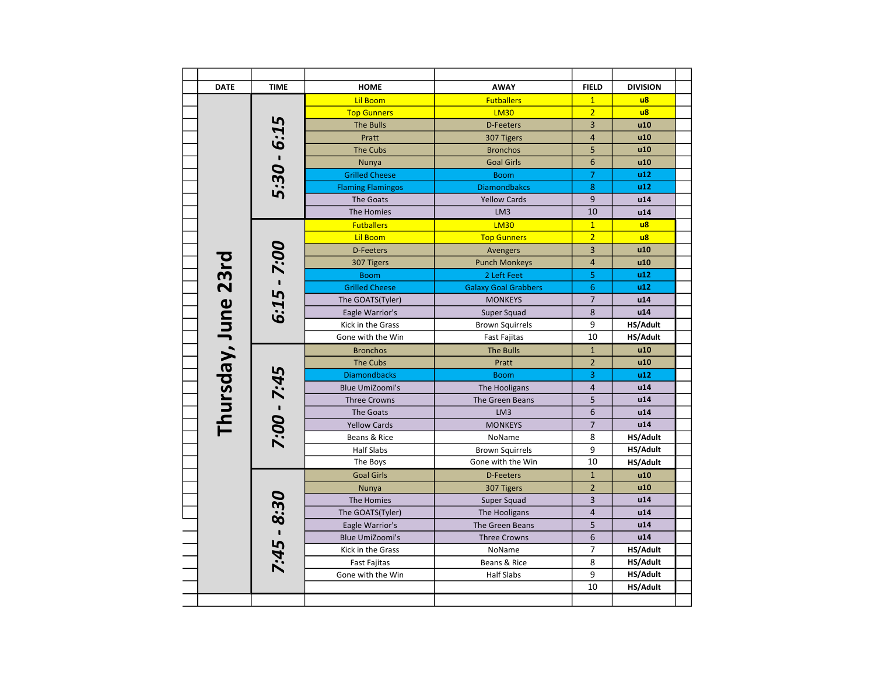|  | <b>DATE</b>         | <b>TIME</b>   | <b>HOME</b>              | <b>AWAY</b>                 | <b>FIELD</b>   | <b>DIVISION</b> |
|--|---------------------|---------------|--------------------------|-----------------------------|----------------|-----------------|
|  |                     |               | <b>Lil Boom</b>          | <b>Futballers</b>           | $\overline{1}$ | u8              |
|  |                     |               | <b>Top Gunners</b>       | <b>LM30</b>                 | $\overline{2}$ | $\overline{u}$  |
|  |                     |               | <b>The Bulls</b>         | <b>D-Feeters</b>            | 3              | u10             |
|  |                     | 5:30 - 6:15   | Pratt                    | 307 Tigers                  | $\overline{4}$ | u10             |
|  |                     |               | <b>The Cubs</b>          | <b>Bronchos</b>             | 5              | u10             |
|  |                     |               | Nunya                    | <b>Goal Girls</b>           | 6              | u10             |
|  |                     |               | <b>Grilled Cheese</b>    | <b>Boom</b>                 | $\overline{7}$ | u12             |
|  |                     |               | <b>Flaming Flamingos</b> | <b>Diamondbakcs</b>         | 8              | u12             |
|  |                     |               | The Goats                | <b>Yellow Cards</b>         | 9              | u14             |
|  |                     |               | The Homies               | LM3                         | 10             | u14             |
|  |                     |               | <b>Futballers</b>        | <b>LM30</b>                 | $\overline{1}$ | $\overline{u}$  |
|  |                     |               | <b>Lil Boom</b>          | <b>Top Gunners</b>          | $\overline{2}$ | $\overline{u}$  |
|  |                     |               | <b>D-Feeters</b>         | Avengers                    | 3              | u10             |
|  |                     | $6:15 - 7:00$ | 307 Tigers               | <b>Punch Monkeys</b>        | $\overline{4}$ | u10             |
|  |                     |               | <b>Boom</b>              | 2 Left Feet                 | 5              | u12             |
|  |                     |               | <b>Grilled Cheese</b>    | <b>Galaxy Goal Grabbers</b> | 6              | u12             |
|  |                     |               | The GOATS(Tyler)         | <b>MONKEYS</b>              | $\overline{7}$ | u14             |
|  |                     |               | Eagle Warrior's          | Super Squad                 | 8              | u14             |
|  |                     |               | Kick in the Grass        | <b>Brown Squirrels</b>      | 9              | HS/Adult        |
|  | Thursday, June 23rd |               | Gone with the Win        | <b>Fast Fajitas</b>         | 10             | HS/Adult        |
|  |                     |               | <b>Bronchos</b>          | <b>The Bulls</b>            | $\mathbf{1}$   | u10             |
|  |                     |               | The Cubs                 | Pratt                       | $\overline{2}$ | u10             |
|  |                     |               | <b>Diamondbacks</b>      | <b>Boom</b>                 | 3              | u12             |
|  |                     |               | <b>Blue UmiZoomi's</b>   | The Hooligans               | $\overline{4}$ | u14             |
|  |                     | 7:00 - 7:45   | <b>Three Crowns</b>      | The Green Beans             | 5              | u14             |
|  |                     |               | The Goats                | LM3                         | 6              | u14             |
|  |                     |               | <b>Yellow Cards</b>      | <b>MONKEYS</b>              | $\overline{7}$ | u14             |
|  |                     |               | Beans & Rice             | NoName                      | 8              | HS/Adult        |
|  |                     |               | <b>Half Slabs</b>        | <b>Brown Squirrels</b>      | 9              | HS/Adult        |
|  |                     |               | The Boys                 | Gone with the Win           | 10             | HS/Adult        |
|  |                     |               | <b>Goal Girls</b>        | <b>D-Feeters</b>            | $\mathbf{1}$   | u10             |
|  |                     |               | Nunya                    | 307 Tigers                  | $\overline{2}$ | u10             |
|  |                     |               | The Homies               | Super Squad                 | 3              | u14             |
|  |                     |               | The GOATS(Tyler)         | The Hooligans               | $\overline{4}$ | u14             |
|  |                     | $7:45 - 8:30$ | Eagle Warrior's          | The Green Beans             | 5              | u14             |
|  |                     |               | <b>Blue UmiZoomi's</b>   | <b>Three Crowns</b>         | 6              | u14             |
|  |                     |               | Kick in the Grass        | NoName                      | 7              | HS/Adult        |
|  |                     |               | <b>Fast Fajitas</b>      | Beans & Rice                | 8              | HS/Adult        |
|  |                     |               | Gone with the Win        | <b>Half Slabs</b>           | 9              | HS/Adult        |
|  |                     |               |                          |                             | 10             | HS/Adult        |
|  |                     |               |                          |                             |                |                 |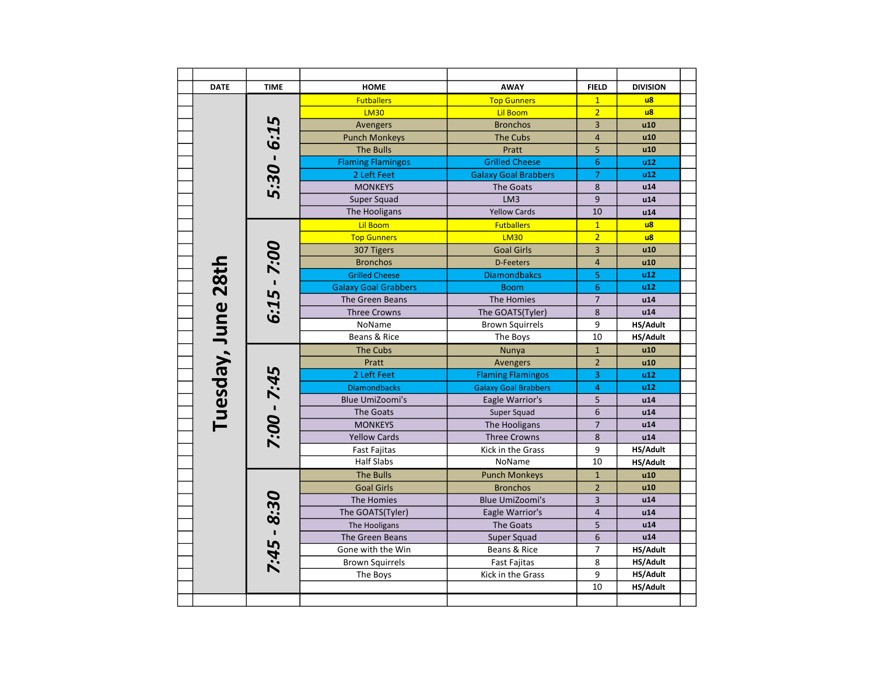| <b>DATE</b>        | <b>TIME</b>   | <b>HOME</b>                 | <b>AWAY</b>                 | <b>FIELD</b>   | <b>DIVISION</b> |
|--------------------|---------------|-----------------------------|-----------------------------|----------------|-----------------|
|                    |               | <b>Futballers</b>           | <b>Top Gunners</b>          | $\mathbf{1}$   | $\overline{u}$  |
|                    |               | <b>LM30</b>                 | <b>Lil Boom</b>             | $\overline{2}$ | $\overline{u}$  |
|                    |               | Avengers                    | <b>Bronchos</b>             | 3              | u10             |
|                    |               | <b>Punch Monkeys</b>        | <b>The Cubs</b>             | $\overline{4}$ | u10             |
|                    |               | <b>The Bulls</b>            | Pratt                       | 5              | u10             |
|                    | $5:30 - 6:15$ | <b>Flaming Flamingos</b>    | <b>Grilled Cheese</b>       | 6              | u12             |
|                    |               | 2 Left Feet                 | <b>Galaxy Goal Brabbers</b> | $\overline{7}$ | u12             |
|                    |               | <b>MONKEYS</b>              | The Goats                   | 8              | u14             |
|                    |               | Super Squad                 | LM3                         | 9              | u14             |
|                    |               | The Hooligans               | <b>Yellow Cards</b>         | 10             | u14             |
|                    |               | <b>Lil Boom</b>             | <b>Futballers</b>           | $\overline{1}$ | $\overline{u}$  |
|                    |               | <b>Top Gunners</b>          | <b>LM30</b>                 | $\overline{2}$ | $\overline{u}$  |
|                    |               | 307 Tigers                  | <b>Goal Girls</b>           | 3              | u10             |
|                    |               | <b>Bronchos</b>             | <b>D-Feeters</b>            | $\overline{4}$ | u10             |
|                    |               | <b>Grilled Cheese</b>       | <b>Diamondbakcs</b>         | 5              | u12             |
|                    | $6:15 - 7:00$ | <b>Galaxy Goal Grabbers</b> | <b>Boom</b>                 | 6              | u12             |
|                    |               | The Green Beans             | The Homies                  | $\overline{7}$ | u14             |
|                    |               | <b>Three Crowns</b>         | The GOATS(Tyler)            | $\,8\,$        | u14             |
|                    |               | NoName                      | <b>Brown Squirrels</b>      | 9              | HS/Adult        |
| Tuesday, June 28th |               | Beans & Rice                | The Boys                    | 10             | HS/Adult        |
|                    |               | <b>The Cubs</b>             | Nunya                       | $\mathbf 1$    | u10             |
|                    |               | Pratt                       | Avengers                    | $\overline{2}$ | u10             |
|                    |               | 2 Left Feet                 | <b>Flaming Flamingos</b>    | 3              | u12             |
|                    |               | <b>Diamondbacks</b>         | <b>Galaxy Goal Brabbers</b> | 4              | u12             |
|                    |               | <b>Blue UmiZoomi's</b>      | Eagle Warrior's             | 5              | u14             |
|                    |               | The Goats                   | Super Squad                 | 6              | u14             |
|                    |               | <b>MONKEYS</b>              | The Hooligans               | $\overline{7}$ | u14             |
|                    | 7:00 - 7:45   | <b>Yellow Cards</b>         | <b>Three Crowns</b>         | 8              | u14             |
|                    |               | <b>Fast Fajitas</b>         | Kick in the Grass           | 9              | HS/Adult        |
|                    |               | <b>Half Slabs</b>           | NoName                      | 10             | HS/Adult        |
|                    |               | <b>The Bulls</b>            | <b>Punch Monkeys</b>        | $\mathbf{1}$   | u10             |
|                    |               | <b>Goal Girls</b>           | <b>Bronchos</b>             | $\overline{2}$ | u10             |
|                    |               | The Homies                  | <b>Blue UmiZoomi's</b>      | 3              | u14             |
|                    |               | The GOATS(Tyler)            | Eagle Warrior's             | $\overline{4}$ | u14             |
|                    | $7:45 - 8:30$ | The Hooligans               | The Goats                   | 5              | u14             |
|                    |               | The Green Beans             | Super Squad                 | 6              | u14             |
|                    |               | Gone with the Win           | Beans & Rice                | 7              | HS/Adult        |
|                    |               | <b>Brown Squirrels</b>      | <b>Fast Fajitas</b>         | 8              | HS/Adult        |
|                    |               | The Boys                    | Kick in the Grass           | 9              | HS/Adult        |
|                    |               |                             |                             | 10             | HS/Adult        |
|                    |               |                             |                             |                |                 |